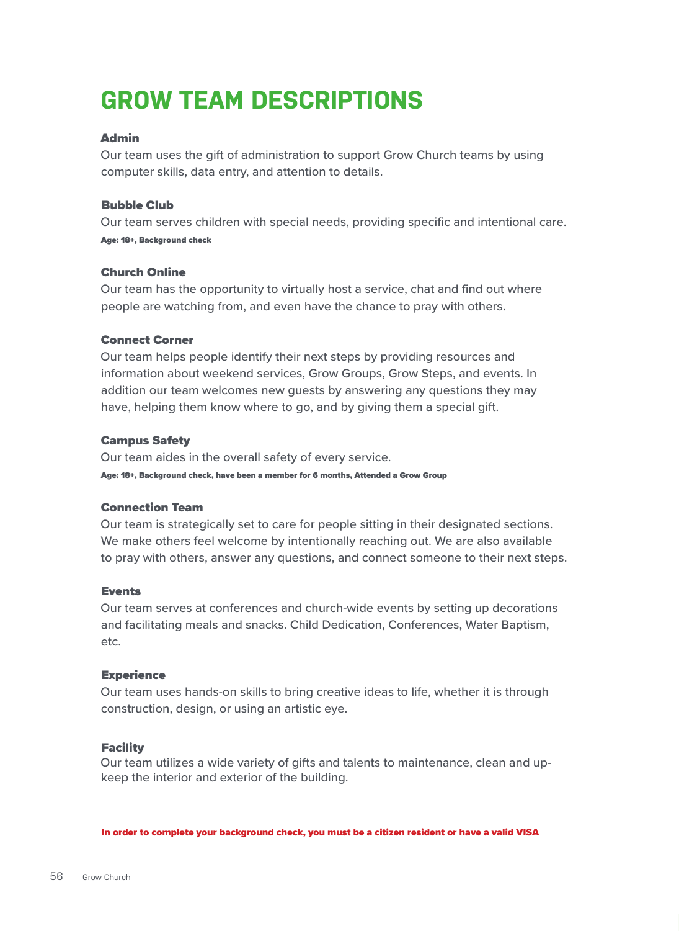# **GROW TEAM DESCRIPTIONS**

# Admin

Our team uses the gift of administration to support Grow Church teams by using computer skills, data entry, and attention to details.

## Bubble Club

Our team serves children with special needs, providing specific and intentional care. Age: 18+, Background check

# Church Online

Our team has the opportunity to virtually host a service, chat and find out where people are watching from, and even have the chance to pray with others.

# Connect Corner

Our team helps people identify their next steps by providing resources and information about weekend services, Grow Groups, Grow Steps, and events. In addition our team welcomes new guests by answering any questions they may have, helping them know where to go, and by giving them a special gift.

# Campus Safety

Our team aides in the overall safety of every service. Age: 18+, Background check, have been a member for 6 months, Attended a Grow Group

# Connection Team

Our team is strategically set to care for people sitting in their designated sections. We make others feel welcome by intentionally reaching out. We are also available to pray with others, answer any questions, and connect someone to their next steps.

## Events

Our team serves at conferences and church-wide events by setting up decorations and facilitating meals and snacks. Child Dedication, Conferences, Water Baptism, etc.

## **Experience**

Our team uses hands-on skills to bring creative ideas to life, whether it is through construction, design, or using an artistic eye.

## Facility

Our team utilizes a wide variety of gifts and talents to maintenance, clean and upkeep the interior and exterior of the building.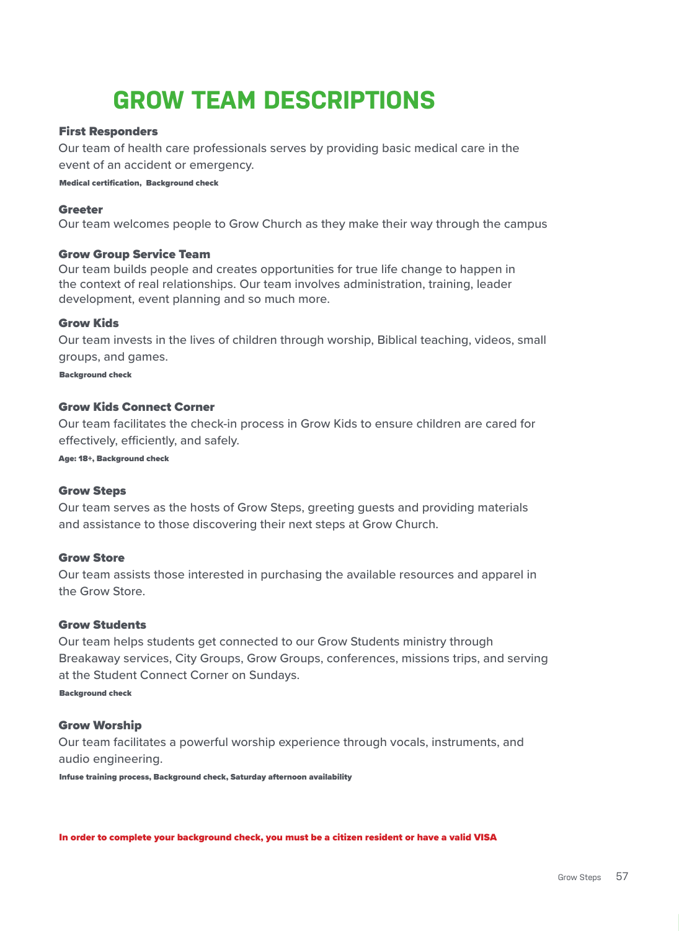# **GROW TEAM DESCRIPTIONS**

# First Responders

Our team of health care professionals serves by providing basic medical care in the event of an accident or emergency.

Medical certification, Background check

### Greeter

Our team welcomes people to Grow Church as they make their way through the campus

#### Grow Group Service Team

Our team builds people and creates opportunities for true life change to happen in the context of real relationships. Our team involves administration, training, leader development, event planning and so much more.

#### Grow Kids

Our team invests in the lives of children through worship, Biblical teaching, videos, small groups, and games.

Background check

## Grow Kids Connect Corner

Our team facilitates the check-in process in Grow Kids to ensure children are cared for effectively, efficiently, and safely.

Age: 18+, Background check

#### Grow Steps

Our team serves as the hosts of Grow Steps, greeting guests and providing materials and assistance to those discovering their next steps at Grow Church.

# Grow Store

Our team assists those interested in purchasing the available resources and apparel in the Grow Store.

### Grow Students

Our team helps students get connected to our Grow Students ministry through Breakaway services, City Groups, Grow Groups, conferences, missions trips, and serving at the Student Connect Corner on Sundays.

Background check

## Grow Worship

Our team facilitates a powerful worship experience through vocals, instruments, and audio engineering.

Infuse training process, Background check, Saturday afternoon availability